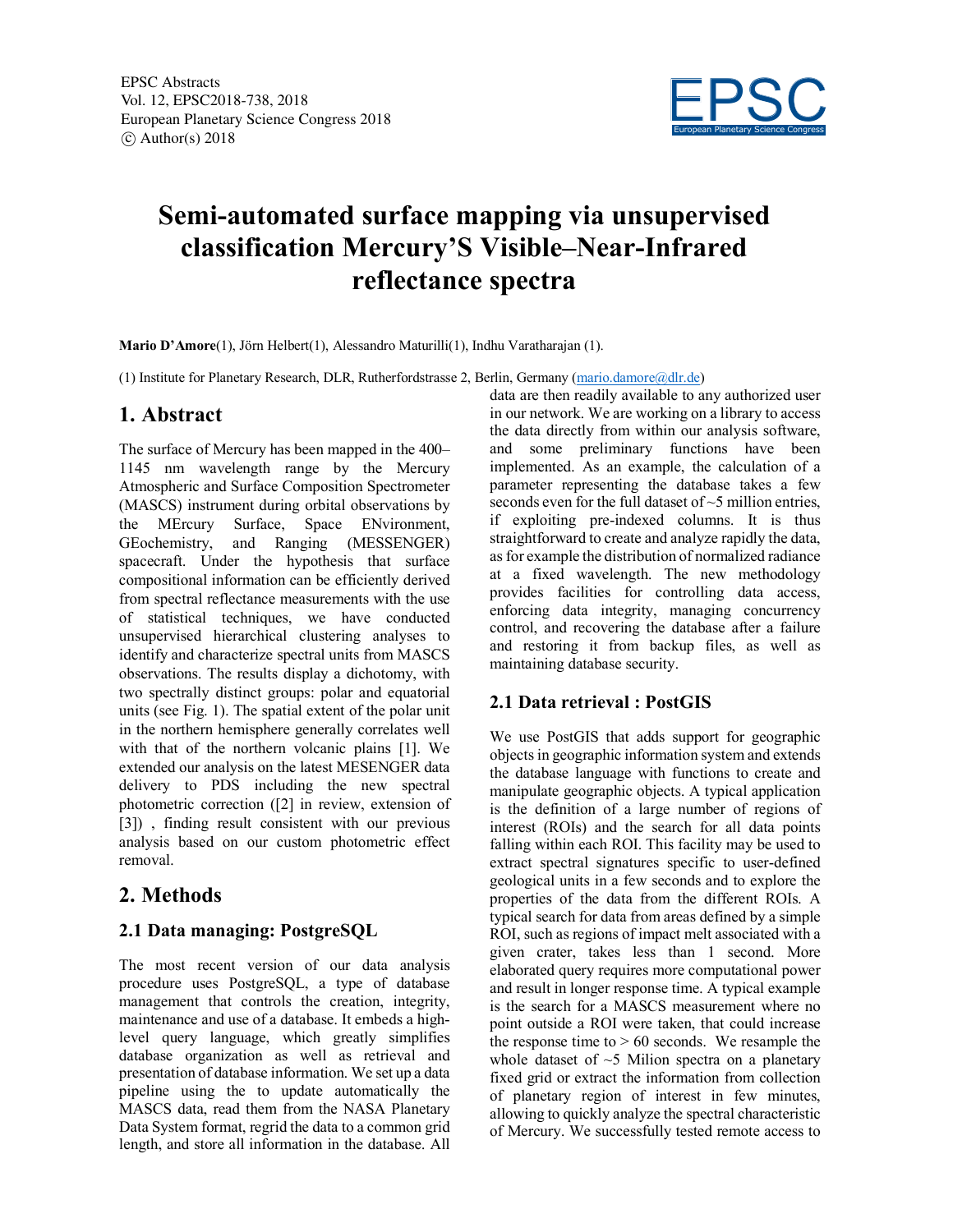

# **Semi-automated surface mapping via unsupervised classification Mercury'S Visible–Near-Infrared reflectance spectra**

**Mario D'Amore**(1), Jörn Helbert(1), Alessandro Maturilli(1), Indhu Varatharajan (1).

(1) Institute for Planetary Research, DLR, Rutherfordstrasse 2, Berlin, Germany (mario.damore@dlr.de)

### **1. Abstract**

The surface of Mercury has been mapped in the 400– 1145 nm wavelength range by the Mercury Atmospheric and Surface Composition Spectrometer (MASCS) instrument during orbital observations by the MErcury Surface, Space ENvironment, GEochemistry, and Ranging (MESSENGER) spacecraft. Under the hypothesis that surface compositional information can be efficiently derived from spectral reflectance measurements with the use of statistical techniques, we have conducted unsupervised hierarchical clustering analyses to identify and characterize spectral units from MASCS observations. The results display a dichotomy, with two spectrally distinct groups: polar and equatorial units (see Fig. 1). The spatial extent of the polar unit in the northern hemisphere generally correlates well with that of the northern volcanic plains [1]. We extended our analysis on the latest MESENGER data delivery to PDS including the new spectral photometric correction ([2] in review, extension of [3]) , finding result consistent with our previous analysis based on our custom photometric effect removal.

## **2. Methods**

#### **2.1 Data managing: PostgreSQL**

The most recent version of our data analysis procedure uses PostgreSQL, a type of database management that controls the creation, integrity, maintenance and use of a database. It embeds a highlevel query language, which greatly simplifies database organization as well as retrieval and presentation of database information. We set up a data pipeline using the to update automatically the MASCS data, read them from the NASA Planetary Data System format, regrid the data to a common grid length, and store all information in the database. All data are then readily available to any authorized user in our network. We are working on a library to access the data directly from within our analysis software, and some preliminary functions have been implemented. As an example, the calculation of a parameter representing the database takes a few seconds even for the full dataset of ~5 million entries, if exploiting pre-indexed columns. It is thus straightforward to create and analyze rapidly the data, as for example the distribution of normalized radiance at a fixed wavelength. The new methodology provides facilities for controlling data access, enforcing data integrity, managing concurrency control, and recovering the database after a failure and restoring it from backup files, as well as maintaining database security.

#### **2.1 Data retrieval : PostGIS**

We use PostGIS that adds support for geographic objects in geographic information system and extends the database language with functions to create and manipulate geographic objects. A typical application is the definition of a large number of regions of interest (ROIs) and the search for all data points falling within each ROI. This facility may be used to extract spectral signatures specific to user-defined geological units in a few seconds and to explore the properties of the data from the different ROIs. A typical search for data from areas defined by a simple ROI, such as regions of impact melt associated with a given crater, takes less than 1 second. More elaborated query requires more computational power and result in longer response time. A typical example is the search for a MASCS measurement where no point outside a ROI were taken, that could increase the response time to  $> 60$  seconds. We resample the whole dataset of  $\sim$ 5 Milion spectra on a planetary fixed grid or extract the information from collection of planetary region of interest in few minutes, allowing to quickly analyze the spectral characteristic of Mercury. We successfully tested remote access to